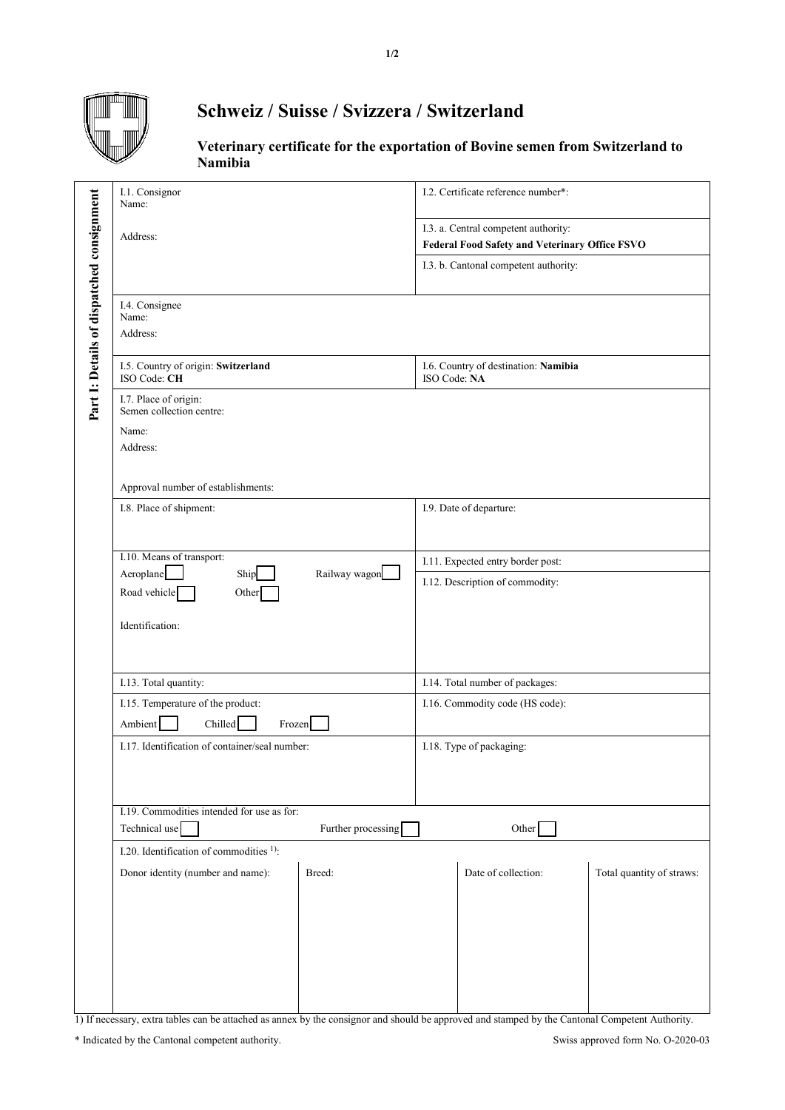

## **Schweiz / Suisse / Svizzera / Switzerland**

**Veterinary certificate for the exportation of Bovine semen from Switzerland to Namibia**

|                                           | I.1. Consignor<br>Name:                             | I.2. Certificate reference number*:                   |  |
|-------------------------------------------|-----------------------------------------------------|-------------------------------------------------------|--|
|                                           |                                                     |                                                       |  |
|                                           | Address:                                            | I.3. a. Central competent authority:                  |  |
|                                           |                                                     | <b>Federal Food Safety and Veterinary Office FSVO</b> |  |
|                                           |                                                     | I.3. b. Cantonal competent authority:                 |  |
|                                           | I.4. Consignee<br>Name:                             |                                                       |  |
|                                           | Address:                                            |                                                       |  |
| Part 1: Details of dispatched consignment | I.5. Country of origin: Switzerland<br>ISO Code: CH | I.6. Country of destination: Namibia<br>ISO Code: NA  |  |
|                                           | I.7. Place of origin:<br>Semen collection centre:   |                                                       |  |
|                                           | Name:                                               |                                                       |  |
|                                           | Address:                                            |                                                       |  |
|                                           |                                                     |                                                       |  |
|                                           | Approval number of establishments:                  |                                                       |  |
|                                           | I.8. Place of shipment:                             | I.9. Date of departure:                               |  |
|                                           |                                                     |                                                       |  |
|                                           |                                                     |                                                       |  |
|                                           | I.10. Means of transport:                           | I.11. Expected entry border post:                     |  |
|                                           | Railway wagon<br>Aeroplane<br>Ship                  |                                                       |  |
|                                           | Road vehicle<br>Other                               | I.12. Description of commodity:                       |  |
|                                           |                                                     |                                                       |  |
|                                           | Identification:                                     |                                                       |  |
|                                           |                                                     |                                                       |  |
|                                           |                                                     |                                                       |  |
|                                           |                                                     |                                                       |  |
|                                           | I.13. Total quantity:                               | I.14. Total number of packages:                       |  |
|                                           | I.15. Temperature of the product:                   | I.16. Commodity code (HS code):                       |  |
|                                           |                                                     |                                                       |  |
|                                           | Chilled<br>Ambient<br>Frozen                        |                                                       |  |
|                                           | I.17. Identification of container/seal number:      | I.18. Type of packaging:                              |  |
|                                           |                                                     |                                                       |  |
|                                           |                                                     |                                                       |  |
|                                           |                                                     |                                                       |  |
|                                           | I.19. Commodities intended for use as for:          |                                                       |  |
|                                           | Technical use<br>Further processing                 | Other                                                 |  |
|                                           | I.20. Identification of commodities <sup>1)</sup> : |                                                       |  |
|                                           |                                                     |                                                       |  |
|                                           | Donor identity (number and name):<br>Breed:         | Date of collection:<br>Total quantity of straws:      |  |
|                                           |                                                     |                                                       |  |
|                                           |                                                     |                                                       |  |
|                                           |                                                     |                                                       |  |
|                                           |                                                     |                                                       |  |
|                                           |                                                     |                                                       |  |
|                                           |                                                     |                                                       |  |
|                                           |                                                     |                                                       |  |
|                                           |                                                     |                                                       |  |

1) If necessary, extra tables can be attached as annex by the consignor and should be approved and stamped by the Cantonal Competent Authority.

\* Indicated by the Cantonal competent authority. Swiss approved form No. O-2020-03